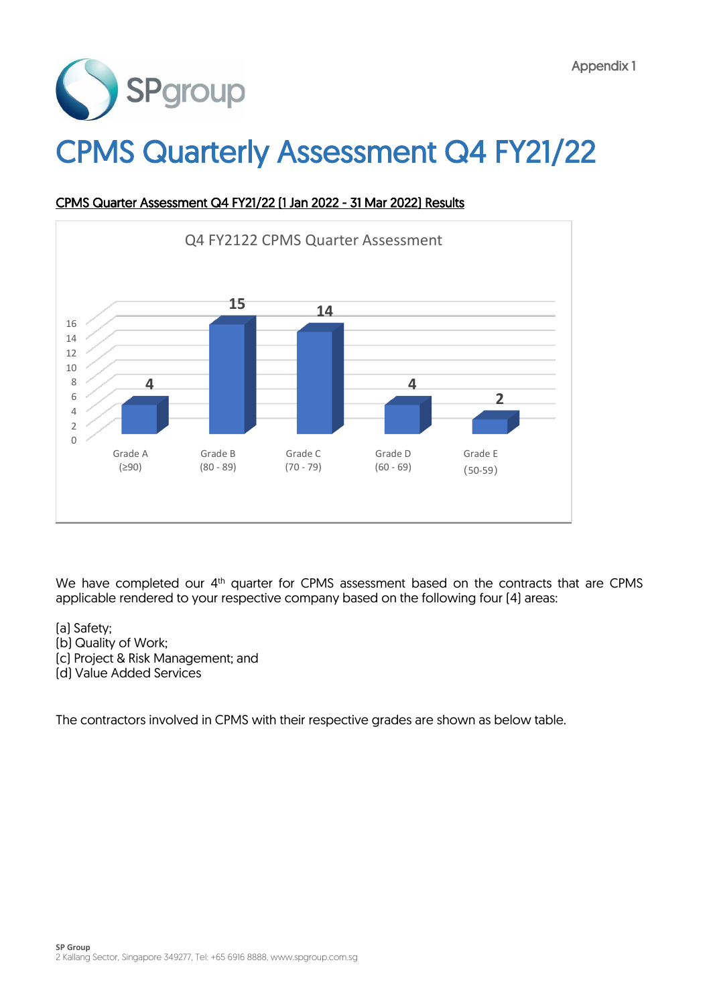

# CPMS Quarterly Assessment Q4 FY21/22



### CPMS Quarter Assessment Q4 FY21/22 (1 Jan 2022 - 31 Mar 2022) Results

We have completed our 4<sup>th</sup> quarter for CPMS assessment based on the contracts that are CPMS applicable rendered to your respective company based on the following four (4) areas:

- (a) Safety;
- (b) Quality of Work;
- (c) Project & Risk Management; and
- (d) Value Added Services

The contractors involved in CPMS with their respective grades are shown as below table.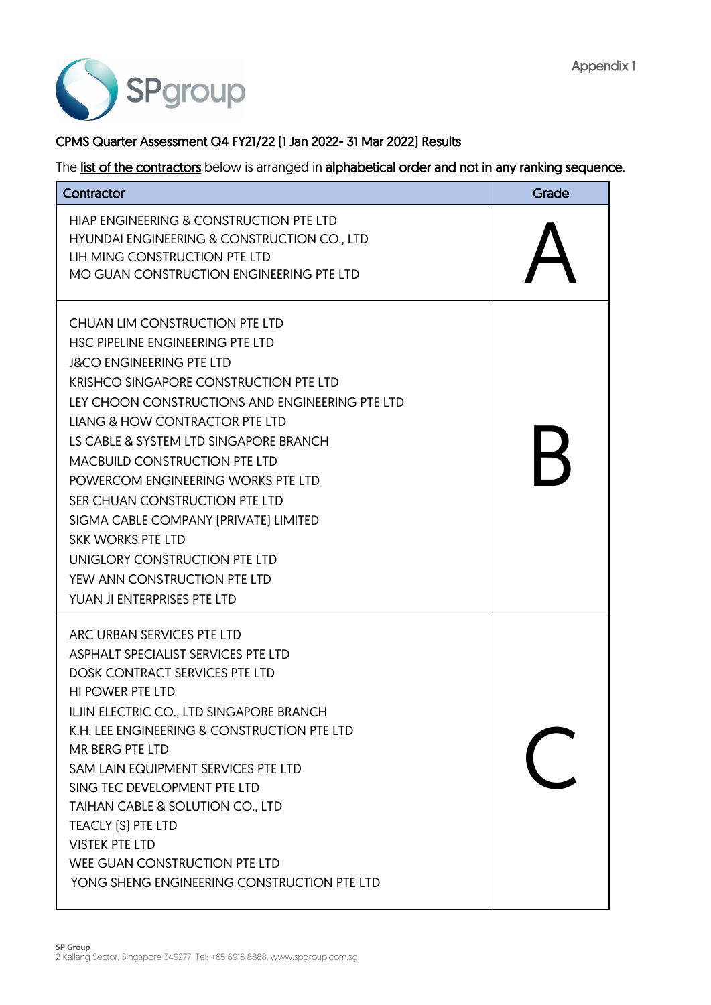

### CPMS Quarter Assessment Q4 FY21/22 (1 Jan 2022- 31 Mar 2022) Results

| Contractor                                                                                                                                                                                                                                                                                                                                                                                                                                                                                                                                                                                | Grade |
|-------------------------------------------------------------------------------------------------------------------------------------------------------------------------------------------------------------------------------------------------------------------------------------------------------------------------------------------------------------------------------------------------------------------------------------------------------------------------------------------------------------------------------------------------------------------------------------------|-------|
| HIAP ENGINEERING & CONSTRUCTION PTE LTD<br>HYUNDAI ENGINEERING & CONSTRUCTION CO., LTD<br>LIH MING CONSTRUCTION PTE LTD<br>MO GUAN CONSTRUCTION ENGINEERING PTE LTD                                                                                                                                                                                                                                                                                                                                                                                                                       |       |
| CHUAN LIM CONSTRUCTION PTE LTD<br>HSC PIPELINE ENGINEERING PTE LTD<br><b>J&amp;CO ENGINEERING PTE LTD</b><br><b>KRISHCO SINGAPORE CONSTRUCTION PTE LTD</b><br>LEY CHOON CONSTRUCTIONS AND ENGINEERING PTE LTD<br><b>LIANG &amp; HOW CONTRACTOR PTE LTD</b><br>LS CABLE & SYSTEM LTD SINGAPORE BRANCH<br><b>MACBUILD CONSTRUCTION PTE LTD</b><br>POWERCOM ENGINEERING WORKS PTE LTD<br>SER CHUAN CONSTRUCTION PTE LTD<br>SIGMA CABLE COMPANY (PRIVATE) LIMITED<br><b>SKK WORKS PTE LTD</b><br>UNIGLORY CONSTRUCTION PTE LTD<br>YEW ANN CONSTRUCTION PTE LTD<br>YUAN JI ENTERPRISES PTE LTD |       |
| ARC URBAN SERVICES PTE LTD<br>ASPHALT SPECIALIST SERVICES PTE LTD<br><b>DOSK CONTRACT SERVICES PTE LTD</b><br><b>HI POWER PTE LTD</b><br>ILJIN ELECTRIC CO., LTD SINGAPORE BRANCH<br>K.H. LEE ENGINEERING & CONSTRUCTION PTE LTD<br>MR BERG PTE LTD<br>SAM LAIN EQUIPMENT SERVICES PTE LTD<br>SING TEC DEVELOPMENT PTE LTD<br>TAIHAN CABLE & SOLUTION CO., LTD<br>TEACLY [S] PTE LTD<br><b>VISTEK PTE LTD</b><br>WEE GUAN CONSTRUCTION PTE LTD<br>YONG SHENG ENGINEERING CONSTRUCTION PTE LTD                                                                                             |       |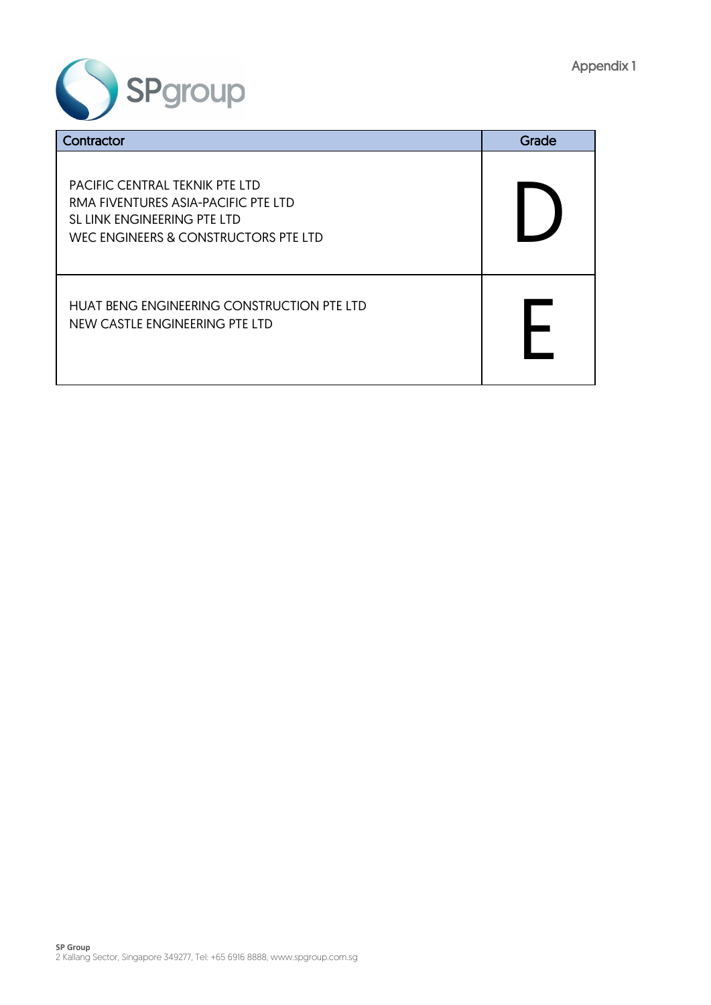

| Contractor                                                                                                                                   | Grade |
|----------------------------------------------------------------------------------------------------------------------------------------------|-------|
| PACIFIC CENTRAL TEKNIK PTE LTD<br>RMA FIVENTURES ASIA-PACIFIC PTE LTD<br>SL LINK ENGINEERING PTE LTD<br>WEC ENGINEERS & CONSTRUCTORS PTE LTD |       |
| HUAT BENG ENGINEERING CONSTRUCTION PTE LTD<br>NEW CASTLE ENGINEERING PTE LTD                                                                 |       |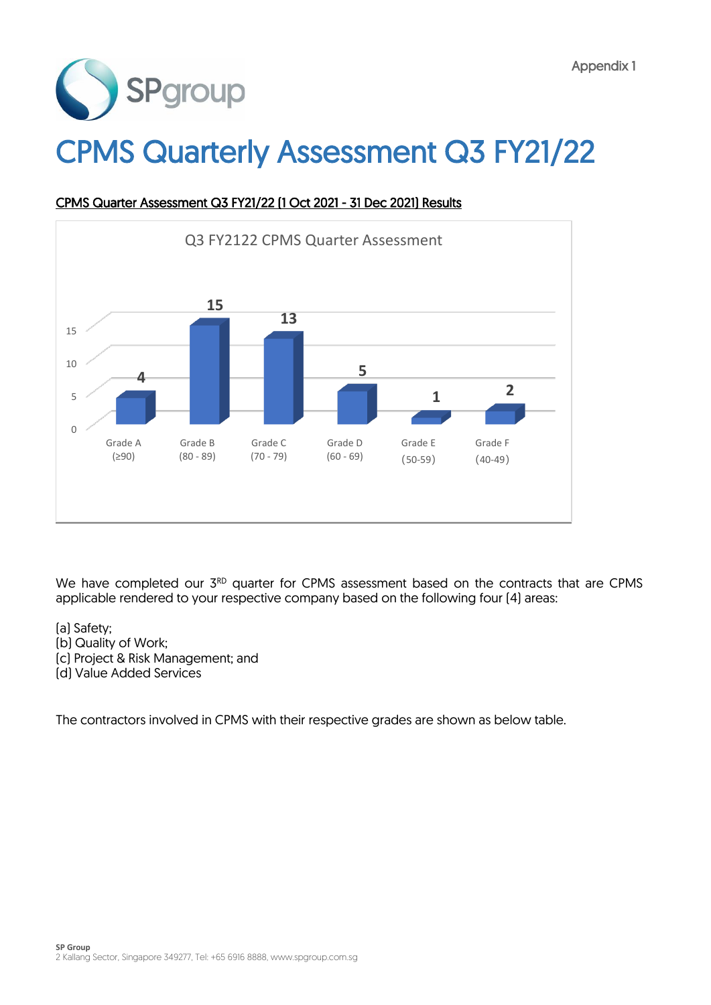

# CPMS Quarterly Assessment Q3 FY21/22



## CPMS Quarter Assessment Q3 FY21/22 (1 Oct 2021 - 31 Dec 2021) Results

We have completed our 3<sup>RD</sup> quarter for CPMS assessment based on the contracts that are CPMS applicable rendered to your respective company based on the following four (4) areas:

- (a) Safety;
- (b) Quality of Work;
- (c) Project & Risk Management; and
- (d) Value Added Services

The contractors involved in CPMS with their respective grades are shown as below table.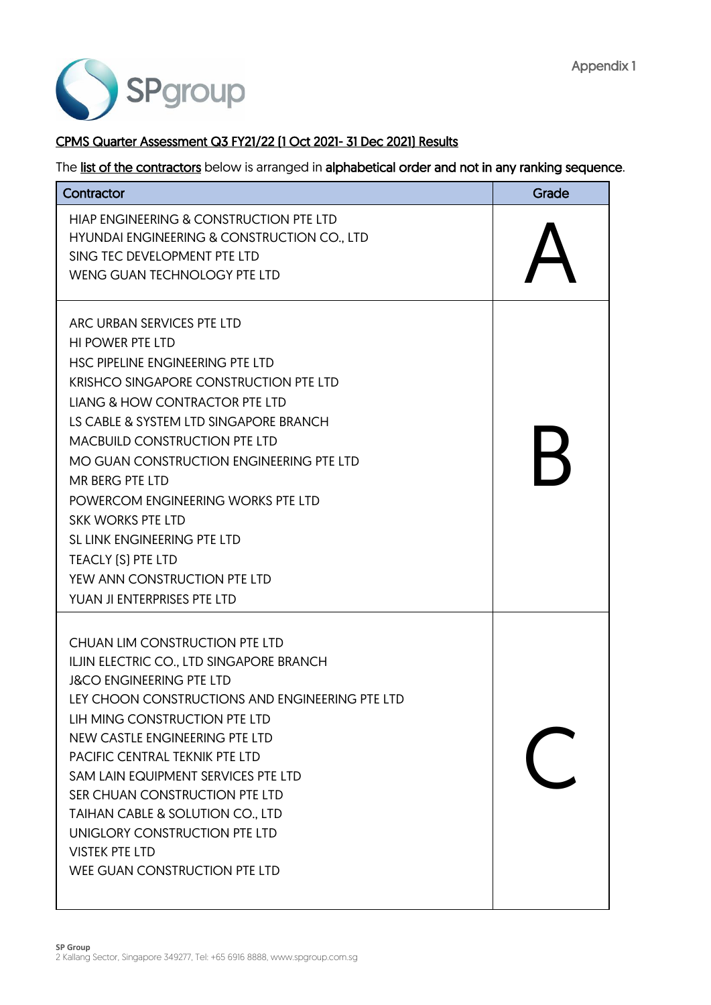

### CPMS Quarter Assessment Q3 FY21/22 (1 Oct 2021- 31 Dec 2021) Results

| Contractor                                                                                                                                                                                                                                                                                                                                                                                                                                                                                                                     | Grade |
|--------------------------------------------------------------------------------------------------------------------------------------------------------------------------------------------------------------------------------------------------------------------------------------------------------------------------------------------------------------------------------------------------------------------------------------------------------------------------------------------------------------------------------|-------|
| HIAP ENGINEERING & CONSTRUCTION PTE LTD<br>HYUNDAI ENGINEERING & CONSTRUCTION CO., LTD<br>SING TEC DEVELOPMENT PTE LTD<br>WENG GUAN TECHNOLOGY PTE LTD                                                                                                                                                                                                                                                                                                                                                                         |       |
| ARC URBAN SERVICES PTE LTD<br><b>HI POWER PTE LTD</b><br>HSC PIPELINE ENGINEERING PTE LTD<br><b>KRISHCO SINGAPORE CONSTRUCTION PTE LTD</b><br><b>LIANG &amp; HOW CONTRACTOR PTE LTD</b><br>LS CABLE & SYSTEM LTD SINGAPORE BRANCH<br><b>MACBUILD CONSTRUCTION PTE LTD</b><br>MO GUAN CONSTRUCTION ENGINEERING PTE LTD<br>MR BERG PTE LTD<br>POWERCOM ENGINEERING WORKS PTE LTD<br><b>SKK WORKS PTE LTD</b><br>SL LINK ENGINEERING PTE LTD<br>TEACLY [S] PTE LTD<br>YEW ANN CONSTRUCTION PTE LTD<br>YUAN JI ENTERPRISES PTE LTD |       |
| CHUAN LIM CONSTRUCTION PTE LTD<br>ILJIN ELECTRIC CO., LTD SINGAPORE BRANCH<br><b>J&amp;CO ENGINEERING PTE LTD</b><br>LEY CHOON CONSTRUCTIONS AND ENGINEERING PTE LTD<br>LIH MING CONSTRUCTION PTE LTD<br>NEW CASTLE ENGINEERING PTE LTD<br>PACIFIC CENTRAL TEKNIK PTE LTD<br>SAM LAIN EQUIPMENT SERVICES PTE LTD<br>SER CHUAN CONSTRUCTION PTE LTD<br>TAIHAN CABLE & SOLUTION CO., LTD<br>UNIGLORY CONSTRUCTION PTE LTD<br><b>VISTEK PTE LTD</b><br>WEE GUAN CONSTRUCTION PTE LTD                                              |       |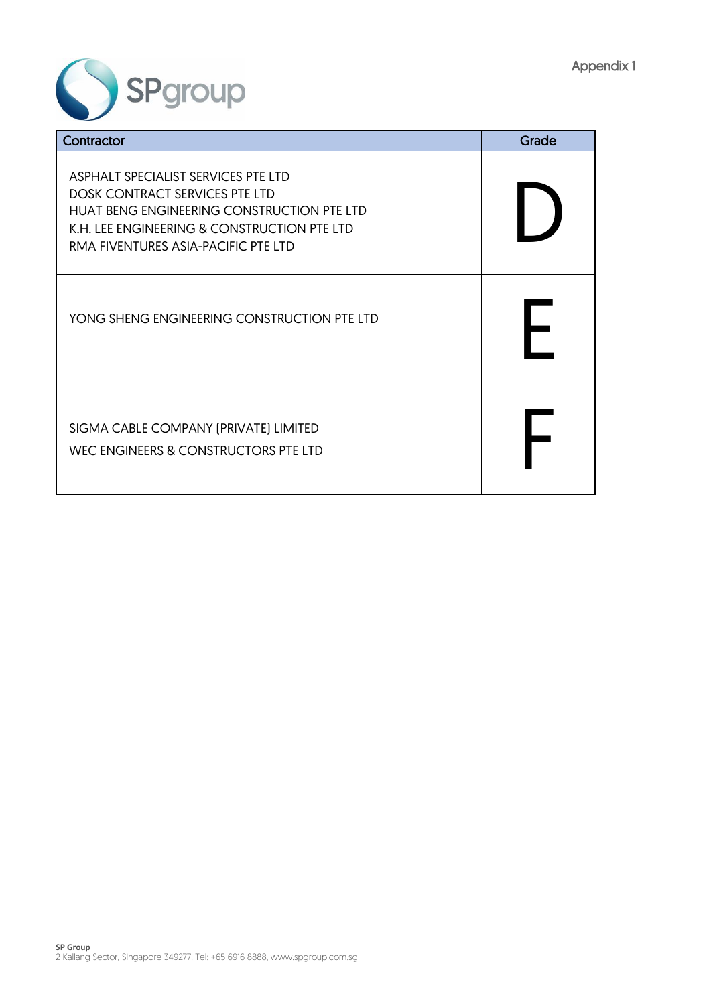

| Contractor                                                                                                                                                                                                | Grade |
|-----------------------------------------------------------------------------------------------------------------------------------------------------------------------------------------------------------|-------|
| ASPHALT SPECIALIST SERVICES PTE LTD<br>DOSK CONTRACT SERVICES PTE LTD<br>HUAT BENG ENGINEERING CONSTRUCTION PTE LTD<br>K.H. LEE ENGINEERING & CONSTRUCTION PTE LTD<br>RMA FIVENTURES ASIA-PACIFIC PTE LTD |       |
| YONG SHENG ENGINEERING CONSTRUCTION PTE LTD                                                                                                                                                               |       |
| SIGMA CABLE COMPANY (PRIVATE) LIMITED<br>WEC ENGINEERS & CONSTRUCTORS PTE LTD                                                                                                                             |       |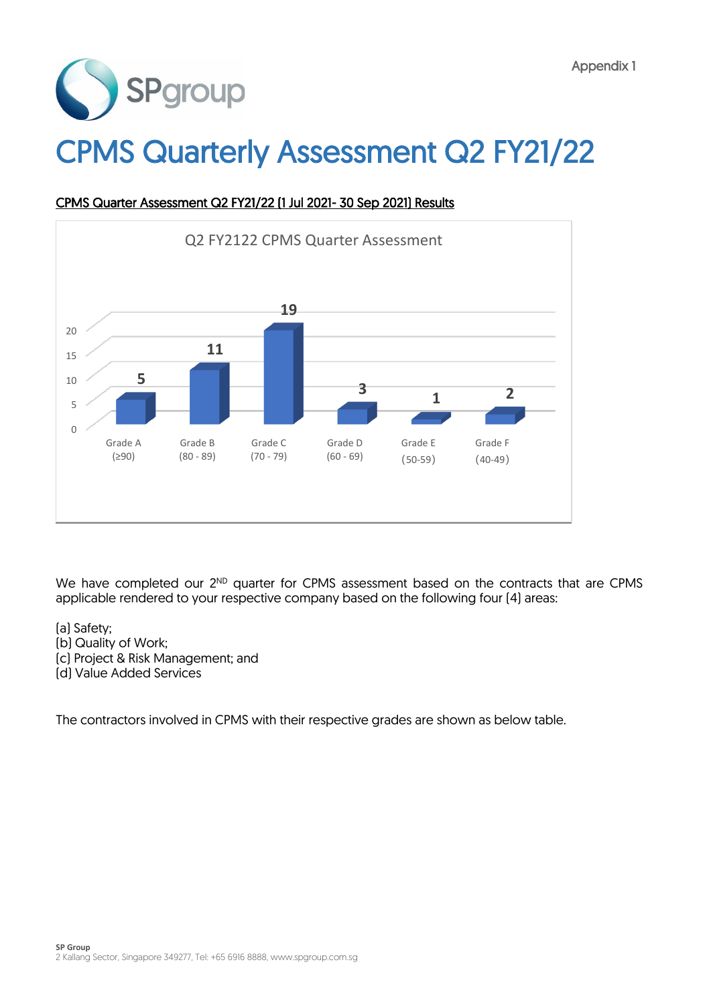

# CPMS Quarterly Assessment Q2 FY21/22



### CPMS Quarter Assessment Q2 FY21/22 (1 Jul 2021- 30 Sep 2021) Results

We have completed our 2<sup>ND</sup> quarter for CPMS assessment based on the contracts that are CPMS applicable rendered to your respective company based on the following four (4) areas:

- (a) Safety;
- (b) Quality of Work;
- (c) Project & Risk Management; and
- (d) Value Added Services

The contractors involved in CPMS with their respective grades are shown as below table.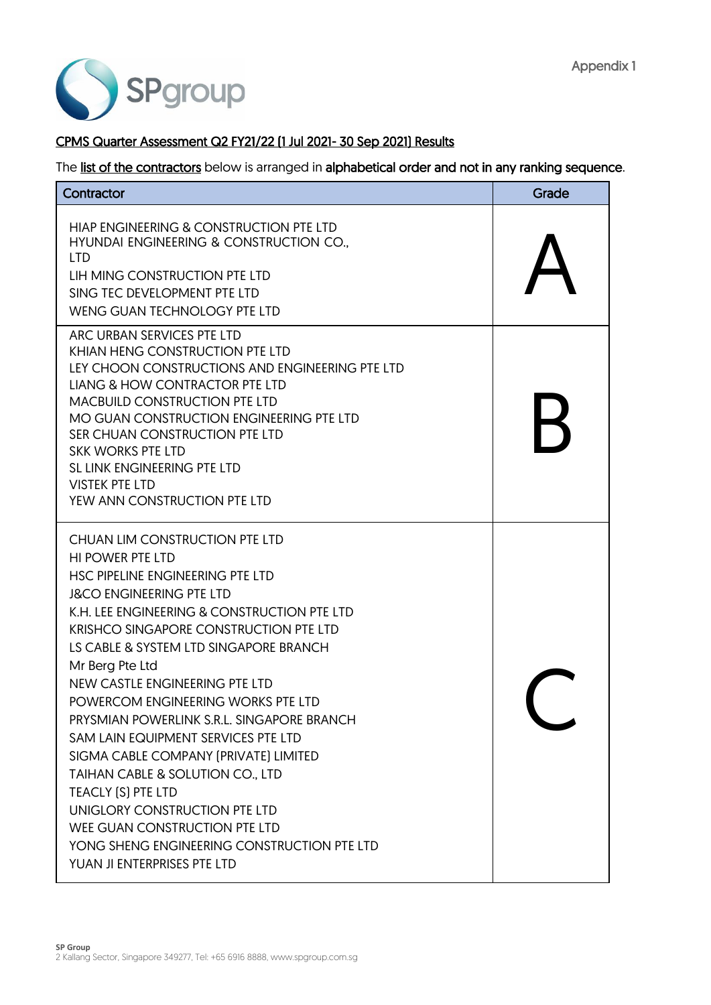

### CPMS Quarter Assessment Q2 FY21/22 (1 Jul 2021- 30 Sep 2021) Results

| Contractor                                                                                                                                                                                                                                                                                                                                                                                                                                                                                                                                                                                                                                                                                                        | Grade |
|-------------------------------------------------------------------------------------------------------------------------------------------------------------------------------------------------------------------------------------------------------------------------------------------------------------------------------------------------------------------------------------------------------------------------------------------------------------------------------------------------------------------------------------------------------------------------------------------------------------------------------------------------------------------------------------------------------------------|-------|
| HIAP ENGINEERING & CONSTRUCTION PTE LTD<br>HYUNDAI ENGINEERING & CONSTRUCTION CO.,<br><b>LTD</b><br>LIH MING CONSTRUCTION PTE LTD<br>SING TEC DEVELOPMENT PTE LTD<br><b>WENG GUAN TECHNOLOGY PTE LTD</b>                                                                                                                                                                                                                                                                                                                                                                                                                                                                                                          |       |
| ARC URBAN SERVICES PTE LTD<br>KHIAN HENG CONSTRUCTION PTE LTD<br>LEY CHOON CONSTRUCTIONS AND ENGINEERING PTE LTD<br>LIANG & HOW CONTRACTOR PTE LTD<br><b>MACBUILD CONSTRUCTION PTE LTD</b><br>MO GUAN CONSTRUCTION ENGINEERING PTE LTD<br>SER CHUAN CONSTRUCTION PTE LTD<br><b>SKK WORKS PTE LTD</b><br>SL LINK ENGINEERING PTE LTD<br><b>VISTEK PTE LTD</b><br>YEW ANN CONSTRUCTION PTE LTD                                                                                                                                                                                                                                                                                                                      |       |
| CHUAN LIM CONSTRUCTION PTE LTD<br><b>HI POWER PTE LTD</b><br>HSC PIPELINE ENGINEERING PTE LTD<br><b>J&amp;CO ENGINEERING PTE LTD</b><br>K.H. LEE ENGINEERING & CONSTRUCTION PTE LTD<br><b>KRISHCO SINGAPORE CONSTRUCTION PTE LTD</b><br>LS CABLE & SYSTEM LTD SINGAPORE BRANCH<br>Mr Berg Pte Ltd<br>NEW CASTLE ENGINEERING PTE LTD<br>POWERCOM ENGINEERING WORKS PTE LTD<br>PRYSMIAN POWERLINK S.R.L. SINGAPORE BRANCH<br>SAM LAIN EQUIPMENT SERVICES PTE LTD<br>SIGMA CABLE COMPANY (PRIVATE) LIMITED<br>TAIHAN CABLE & SOLUTION CO., LTD<br>TEACLY [S] PTE LTD<br>UNIGLORY CONSTRUCTION PTE LTD<br>WEE GUAN CONSTRUCTION PTE LTD<br>YONG SHENG ENGINEERING CONSTRUCTION PTE LTD<br>YUAN JI ENTERPRISES PTE LTD |       |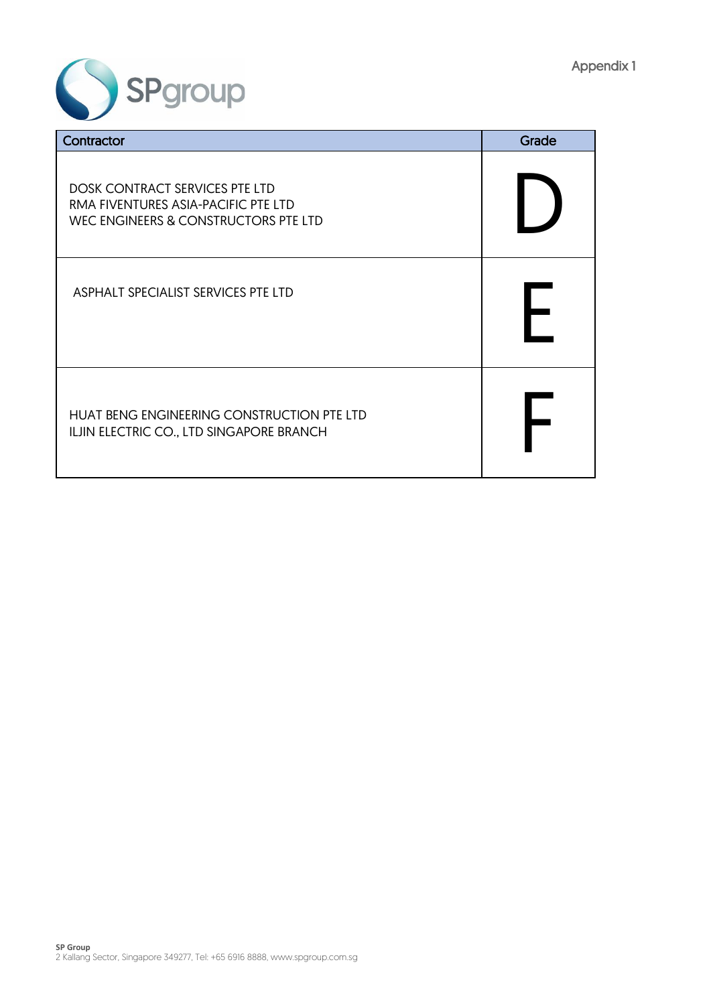

| Contractor                                                                                                           | Grade |
|----------------------------------------------------------------------------------------------------------------------|-------|
| <b>DOSK CONTRACT SERVICES PTE LTD</b><br>RMA FIVENTURES ASIA-PACIFIC PTE LTD<br>WEC ENGINEERS & CONSTRUCTORS PTE LTD |       |
| ASPHALT SPECIALIST SERVICES PTE LTD                                                                                  |       |
| HUAT BENG ENGINEERING CONSTRUCTION PTE LTD<br>ILJIN ELECTRIC CO., LTD SINGAPORE BRANCH                               |       |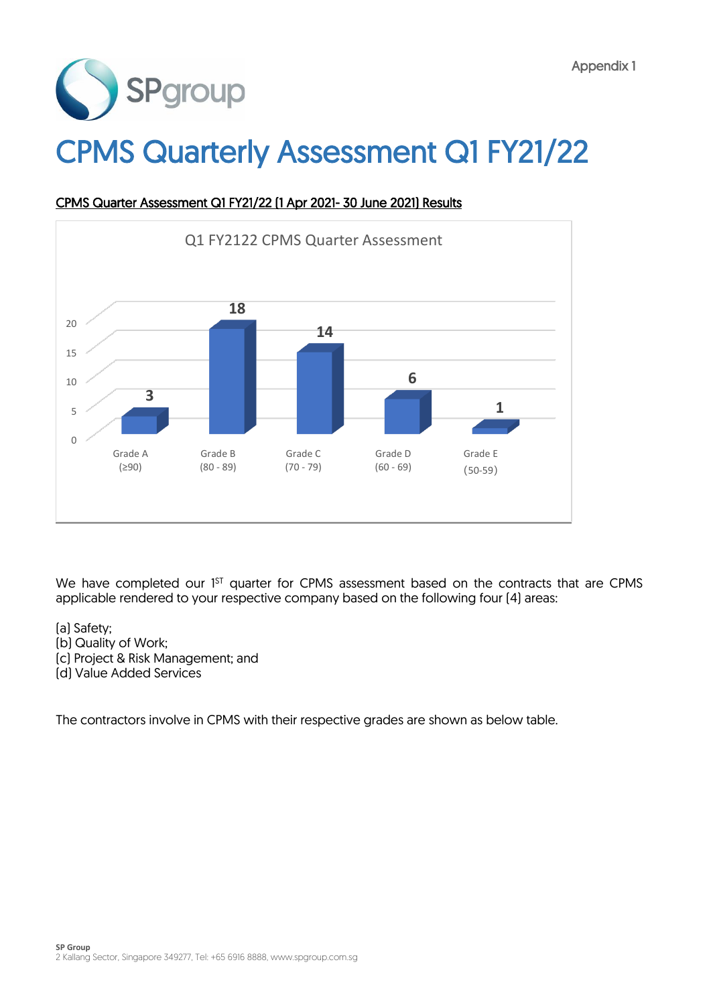

# CPMS Quarterly Assessment Q1 FY21/22



### CPMS Quarter Assessment Q1 FY21/22 (1 Apr 2021- 30 June 2021) Results

We have completed our 1<sup>st</sup> quarter for CPMS assessment based on the contracts that are CPMS applicable rendered to your respective company based on the following four (4) areas:

- (a) Safety;
- (b) Quality of Work;
- (c) Project & Risk Management; and
- (d) Value Added Services

The contractors involve in CPMS with their respective grades are shown as below table.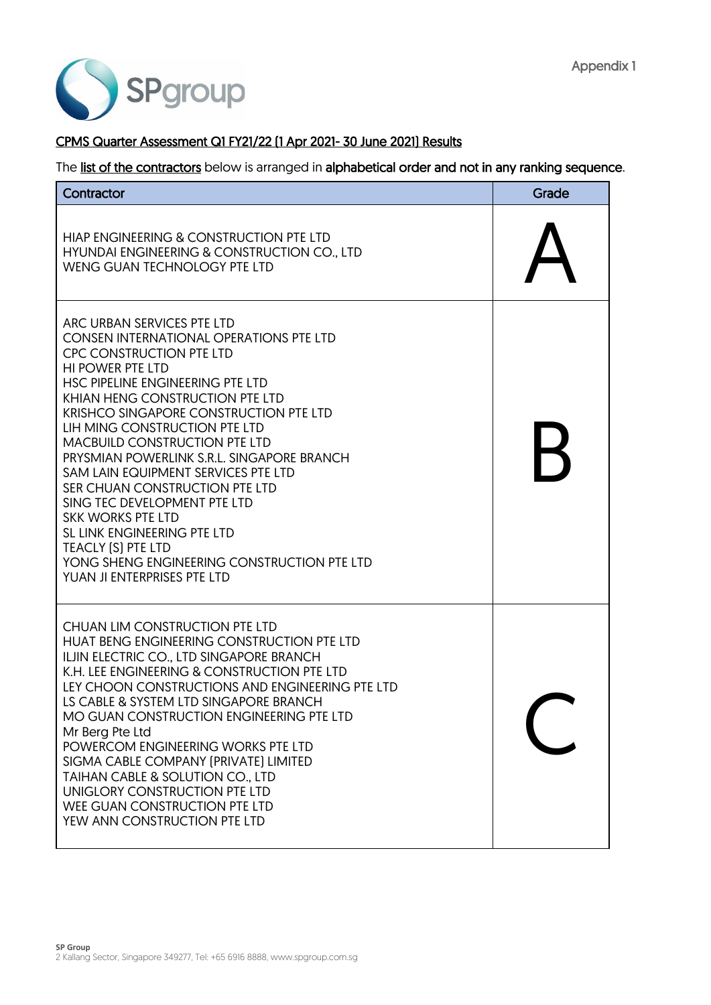

#### CPMS Quarter Assessment Q1 FY21/22 (1 Apr 2021- 30 June 2021) Results

| Contractor                                                                                                                                                                                                                                                                                                                                                                                                                                                                                                                                                                                                                                                               | Grade |
|--------------------------------------------------------------------------------------------------------------------------------------------------------------------------------------------------------------------------------------------------------------------------------------------------------------------------------------------------------------------------------------------------------------------------------------------------------------------------------------------------------------------------------------------------------------------------------------------------------------------------------------------------------------------------|-------|
| HIAP ENGINEERING & CONSTRUCTION PTE LTD<br>HYUNDAI ENGINEERING & CONSTRUCTION CO., LTD<br>WENG GUAN TECHNOLOGY PTE LTD                                                                                                                                                                                                                                                                                                                                                                                                                                                                                                                                                   |       |
| ARC URBAN SERVICES PTE LTD<br><b>CONSEN INTERNATIONAL OPERATIONS PTE LTD</b><br><b>CPC CONSTRUCTION PTE LTD</b><br><b>HI POWER PTE LTD</b><br>HSC PIPELINE ENGINEERING PTE LTD<br>KHIAN HENG CONSTRUCTION PTE LTD<br><b>KRISHCO SINGAPORE CONSTRUCTION PTE LTD</b><br>LIH MING CONSTRUCTION PTE LTD<br><b>MACBUILD CONSTRUCTION PTE LTD</b><br>PRYSMIAN POWERLINK S.R.L. SINGAPORE BRANCH<br>SAM LAIN EQUIPMENT SERVICES PTE LTD<br>SER CHUAN CONSTRUCTION PTE LTD<br>SING TEC DEVELOPMENT PTE LTD<br><b>SKK WORKS PTE LTD</b><br>SL LINK ENGINEERING PTE LTD<br><b>TEACLY [S] PTE LTD</b><br>YONG SHENG ENGINEERING CONSTRUCTION PTE LTD<br>YUAN JI ENTERPRISES PTE LTD | Н     |
| CHUAN LIM CONSTRUCTION PTE LTD<br>HUAT BENG ENGINEERING CONSTRUCTION PTE LTD<br>ILJIN ELECTRIC CO., LTD SINGAPORE BRANCH<br>K.H. LEE ENGINEERING & CONSTRUCTION PTE LTD<br>LEY CHOON CONSTRUCTIONS AND ENGINEERING PTE LTD<br>LS CABLE & SYSTEM LTD SINGAPORE BRANCH<br>MO GUAN CONSTRUCTION ENGINEERING PTE LTD<br>Mr Berg Pte Ltd<br>POWERCOM ENGINEERING WORKS PTE LTD<br>SIGMA CABLE COMPANY (PRIVATE) LIMITED<br>TAIHAN CABLE & SOLUTION CO., LTD<br>UNIGLORY CONSTRUCTION PTE LTD<br>WEE GUAN CONSTRUCTION PTE LTD<br>YEW ANN CONSTRUCTION PTE LTD                                                                                                                 |       |